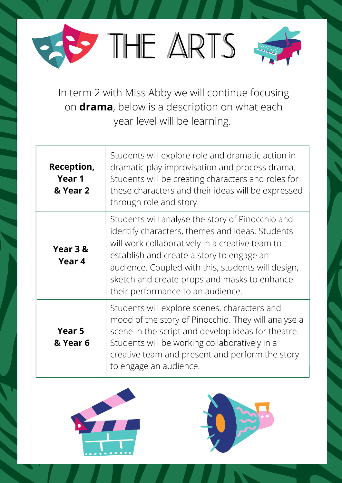



In term 2 with Miss Abby we will continue focusing on **drama**, below is a description on what each year level will be learning.

| Reception,<br>Year 1<br>& Year 2 | Students will explore role and dramatic action in<br>dramatic play improvisation and process drama.<br>Students will be creating characters and roles for<br>these characters and their ideas will be expressed<br>through role and story.                                                                                                     |
|----------------------------------|------------------------------------------------------------------------------------------------------------------------------------------------------------------------------------------------------------------------------------------------------------------------------------------------------------------------------------------------|
| Year 3 &<br>Year 4               | Students will analyse the story of Pinocchio and<br>identify characters, themes and ideas. Students<br>will work collaboratively in a creative team to<br>establish and create a story to engage an<br>audience. Coupled with this, students will design,<br>sketch and create props and masks to enhance<br>their performance to an audience. |
| <b>Year 5</b><br>& Year 6        | Students will explore scenes, characters and<br>mood of the story of Pinocchio. They will analyse a<br>scene in the script and develop ideas for theatre.<br>Students will be working collaboratively in a<br>creative team and present and perform the story<br>to engage an audience.                                                        |